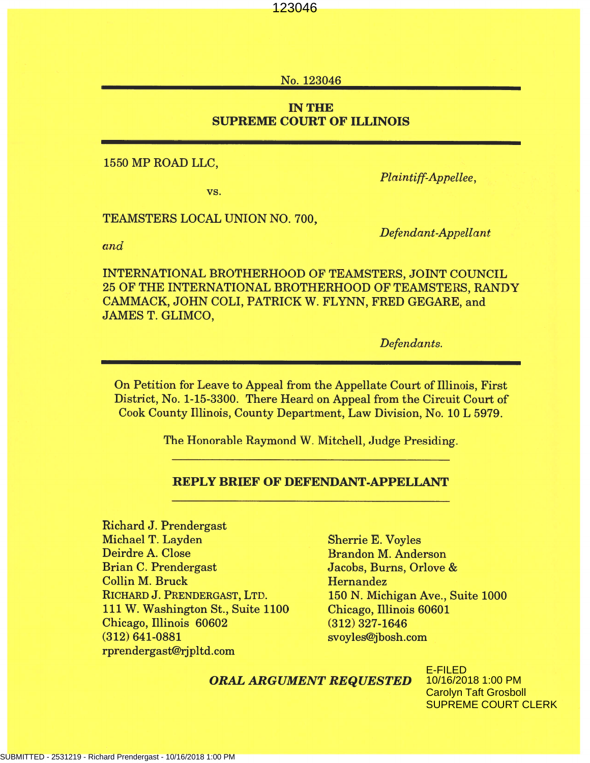No. 123046

## **IN THE SUPREME COURT OF ILLINOIS**

1550 MP ROAD LLC,

VS.

Plaintiff-Appellee,

TEAMSTERS LOCAL UNION NO. 700,

Defendant-Appellant

and

INTERNATIONAL BROTHERHOOD OF TEAMSTERS, JOINT COUNCIL 25 OF THE INTERNATIONAL BROTHERHOOD OF TEAMSTERS, RANDY CAMMACK, JOHN COLI, PATRICK W. FLYNN, FRED GEGARE, and **JAMES T. GLIMCO,** 

Defendants.

On Petition for Leave to Appeal from the Appellate Court of Illinois, First District, No. 1-15-3300. There Heard on Appeal from the Circuit Court of Cook County Illinois, County Department, Law Division, No. 10 L 5979.

The Honorable Raymond W. Mitchell, Judge Presiding.

## **REPLY BRIEF OF DEFENDANT-APPELLANT**

**Richard J. Prendergast** Michael T. Layden Deirdre A. Close **Brian C. Prendergast Collin M. Bruck** RICHARD J. PRENDERGAST, LTD. 111 W. Washington St., Suite 1100 Chicago, Illinois 60602  $(312) 641 - 0881$ rprendergast@rjpltd.com

**Sherrie E. Voyles Brandon M. Anderson** Jacobs, Burns, Orlove & Hernandez 150 N. Michigan Ave., Suite 1000 Chicago, Illinois 60601  $(312)$  327-1646 svoyles@jbosh.com

#### **ORAL ARGUMENT REQUESTED**

E-FILED 10/16/2018 1:00 PM Carolyn Taft Grosboll SUPREME COURT CLERK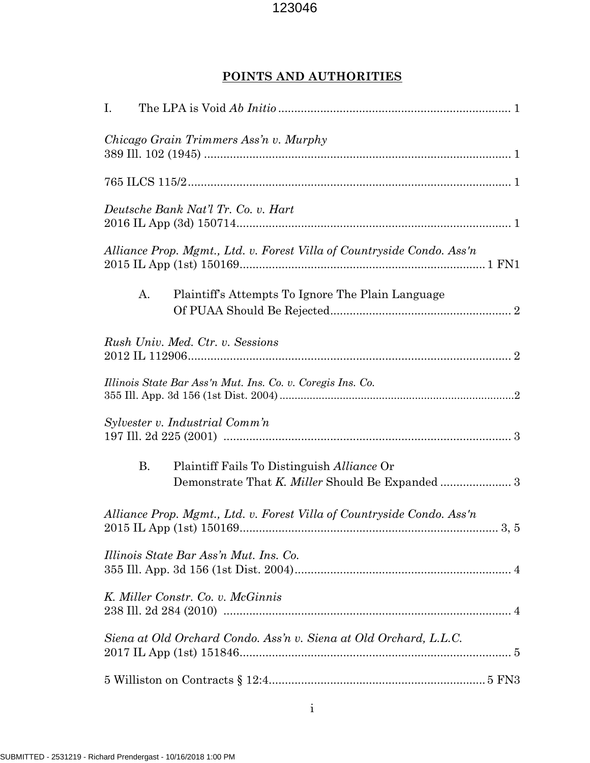## **POINTS AND AUTHORITIES**

| Ι. |                                                                                                                                                                            |
|----|----------------------------------------------------------------------------------------------------------------------------------------------------------------------------|
|    | Chicago Grain Trimmers Ass'n v. Murphy                                                                                                                                     |
|    |                                                                                                                                                                            |
|    | Deutsche Bank Nat'l Tr. Co. v. Hart                                                                                                                                        |
|    | Alliance Prop. Mgmt., Ltd. v. Forest Villa of Countryside Condo. Ass'n                                                                                                     |
| A. | Plaintiff's Attempts To Ignore The Plain Language                                                                                                                          |
|    | Rush Univ. Med. Ctr. v. Sessions                                                                                                                                           |
|    | Illinois State Bar Ass'n Mut. Ins. Co. v. Coregis Ins. Co.                                                                                                                 |
|    | Sylvester v. Industrial Comm'n                                                                                                                                             |
| В. | Plaintiff Fails To Distinguish Alliance Or                                                                                                                                 |
|    | Alliance Prop. Mgmt., Ltd. v. Forest Villa of Countryside Condo. Ass'n                                                                                                     |
|    | Illinois State Bar Ass'n Mut. Ins. Co.                                                                                                                                     |
|    | K. Miller Constr. Co. v. McGinnis                                                                                                                                          |
|    | Siena at Old Orchard Condo. Ass'n v. Siena at Old Orchard, L.L.C.                                                                                                          |
|    | $5$ Williston on Contracts $\S$ $12{:}4{{\ldots}{{\ldots}{{\ldots}{{\ldots}}{\ldots}}{\ldots{{\ldots}}{\ldots{{\ldots}}{\ldots}}{\ldots{\ldots}}{\ldots}}}\;5$ ${\rm FN3}$ |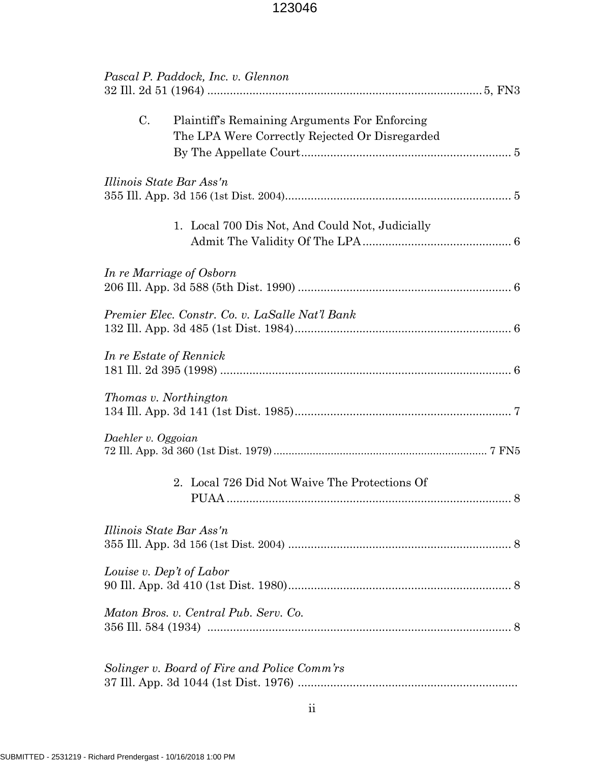|                          | Pascal P. Paddock, Inc. v. Glennon                                                              |   |
|--------------------------|-------------------------------------------------------------------------------------------------|---|
| C.                       | Plaintiff's Remaining Arguments For Enforcing<br>The LPA Were Correctly Rejected Or Disregarded |   |
| Illinois State Bar Ass'n |                                                                                                 |   |
|                          | 1. Local 700 Dis Not, And Could Not, Judicially                                                 |   |
|                          | In re Marriage of Osborn                                                                        |   |
|                          | Premier Elec. Constr. Co. v. LaSalle Nat'l Bank                                                 |   |
| In re Estate of Rennick  |                                                                                                 |   |
| Thomas v. Northington    |                                                                                                 |   |
| Daehler v. Oggoian       |                                                                                                 |   |
|                          | 2. Local 726 Did Not Waive The Protections Of                                                   | 8 |
| Illinois State Bar Ass'n |                                                                                                 |   |
|                          | Louise v. Dep't of Labor                                                                        |   |
|                          | Maton Bros. v. Central Pub. Serv. Co.                                                           |   |
|                          | Solinger v. Board of Fire and Police Comm'rs                                                    |   |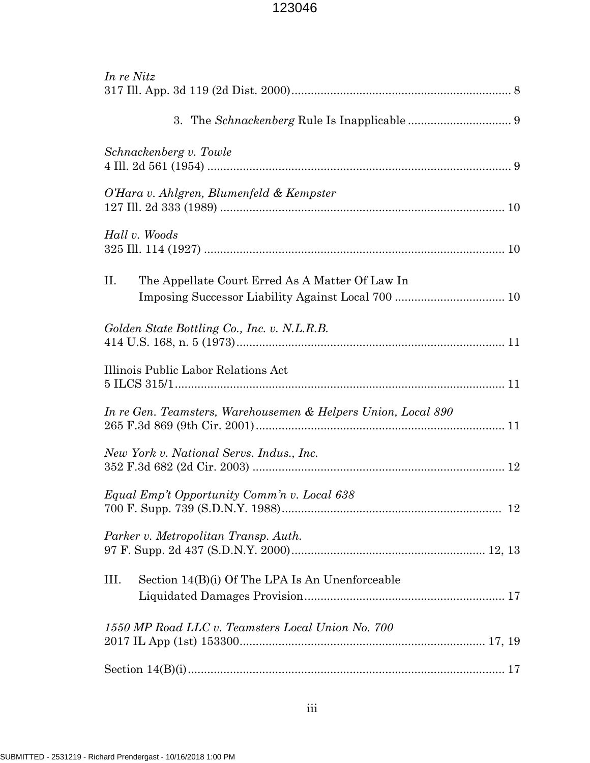| In re Nitz                                                    |
|---------------------------------------------------------------|
|                                                               |
| Schnackenberg v. Towle                                        |
| O'Hara v. Ahlgren, Blumenfeld & Kempster                      |
| Hall v. Woods                                                 |
| The Appellate Court Erred As A Matter Of Law In<br>II.        |
| Golden State Bottling Co., Inc. v. N.L.R.B.                   |
| Illinois Public Labor Relations Act                           |
| In re Gen. Teamsters, Warehousemen & Helpers Union, Local 890 |
| New York v. National Servs. Indus., Inc.                      |
| Equal Emp't Opportunity Comm'n v. Local 638                   |
| Parker v. Metropolitan Transp. Auth.                          |
| Section 14(B)(i) Of The LPA Is An Unenforceable<br>Ш.         |
| 1550 MP Road LLC v. Teamsters Local Union No. 700             |
|                                                               |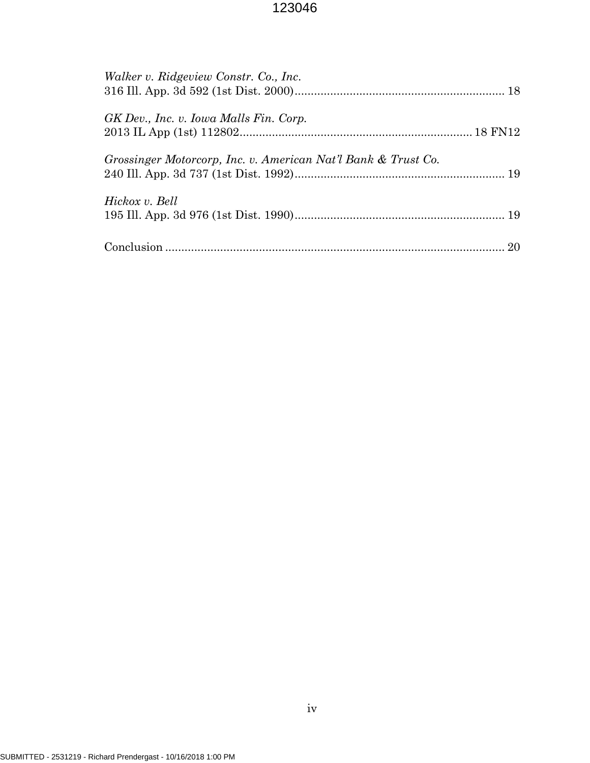| Walker v. Ridgeview Constr. Co., Inc.                         |  |
|---------------------------------------------------------------|--|
| GK Dev., Inc. v. Iowa Malls Fin. Corp.                        |  |
| Grossinger Motorcorp, Inc. v. American Nat'l Bank & Trust Co. |  |
| Hickox v. Bell                                                |  |
|                                                               |  |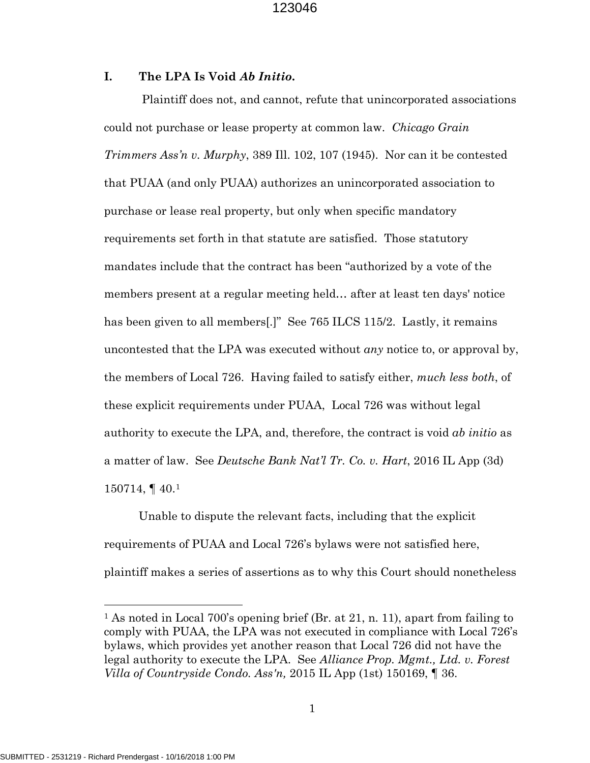## **I. The LPA Is Void** *Ab Initio***.**

Plaintiff does not, and cannot, refute that unincorporated associations could not purchase or lease property at common law. *Chicago Grain Trimmers Ass'n v. Murphy*, 389 Ill. 102, 107 (1945). Nor can it be contested that PUAA (and only PUAA) authorizes an unincorporated association to purchase or lease real property, but only when specific mandatory requirements set forth in that statute are satisfied. Those statutory mandates include that the contract has been "authorized by a vote of the members present at a regular meeting held… after at least ten days' notice has been given to all members[.]" See 765 ILCS 115/2. Lastly, it remains uncontested that the LPA was executed without *any* notice to, or approval by, the members of Local 726. Having failed to satisfy either, *much less both*, of these explicit requirements under PUAA, Local 726 was without legal authority to execute the LPA, and, therefore, the contract is void *ab initio* as a matter of law. See *Deutsche Bank Nat'l Tr. Co. v. Hart*, 2016 IL App (3d) 150714, ¶ 40.[1](#page-5-0)

Unable to dispute the relevant facts, including that the explicit requirements of PUAA and Local 726's bylaws were not satisfied here, plaintiff makes a series of assertions as to why this Court should nonetheless

l

<span id="page-5-0"></span><sup>&</sup>lt;sup>1</sup> As noted in Local 700's opening brief (Br. at 21, n. 11), apart from failing to comply with PUAA, the LPA was not executed in compliance with Local 726's bylaws, which provides yet another reason that Local 726 did not have the legal authority to execute the LPA. See *Alliance Prop. Mgmt., Ltd. v. Forest Villa of Countryside Condo. Ass'n,* 2015 IL App (1st) 150169, ¶ 36.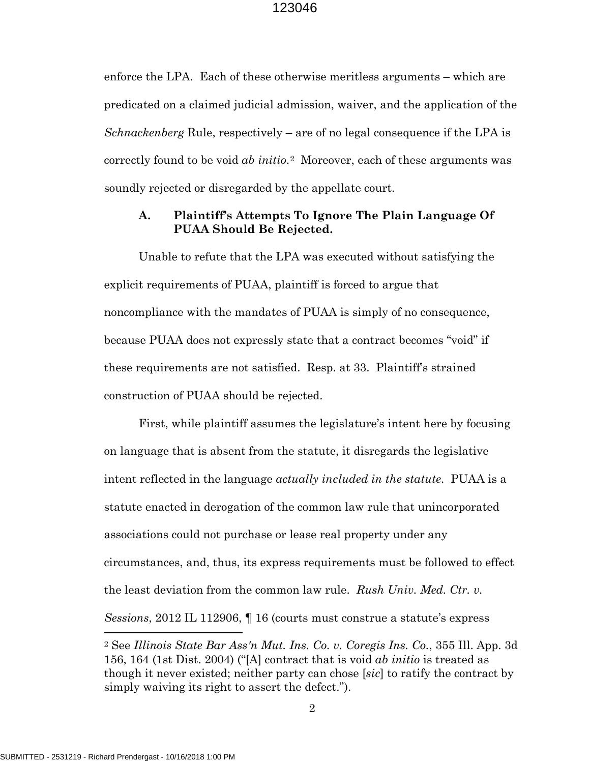enforce the LPA. Each of these otherwise meritless arguments – which are predicated on a claimed judicial admission, waiver, and the application of the *Schnackenberg* Rule, respectively – are of no legal consequence if the LPA is correctly found to be void *ab initio*.[2](#page-6-0) Moreover, each of these arguments was soundly rejected or disregarded by the appellate court.

## **A. Plaintiff's Attempts To Ignore The Plain Language Of PUAA Should Be Rejected.**

Unable to refute that the LPA was executed without satisfying the explicit requirements of PUAA, plaintiff is forced to argue that noncompliance with the mandates of PUAA is simply of no consequence, because PUAA does not expressly state that a contract becomes "void" if these requirements are not satisfied. Resp. at 33. Plaintiff's strained construction of PUAA should be rejected.

First, while plaintiff assumes the legislature's intent here by focusing on language that is absent from the statute, it disregards the legislative intent reflected in the language *actually included in the statute*. PUAA is a statute enacted in derogation of the common law rule that unincorporated associations could not purchase or lease real property under any circumstances, and, thus, its express requirements must be followed to effect the least deviation from the common law rule. *Rush Univ. Med. Ctr. v. Sessions*, 2012 IL 112906, ¶ 16 (courts must construe a statute's express

 $\overline{a}$ 

<span id="page-6-0"></span><sup>2</sup> See *Illinois State Bar Ass'n Mut. Ins. Co. v. Coregis Ins. Co.*, 355 Ill. App. 3d 156, 164 (1st Dist. 2004) ("[A] contract that is void *ab initio* is treated as though it never existed; neither party can chose [*sic*] to ratify the contract by simply waiving its right to assert the defect.").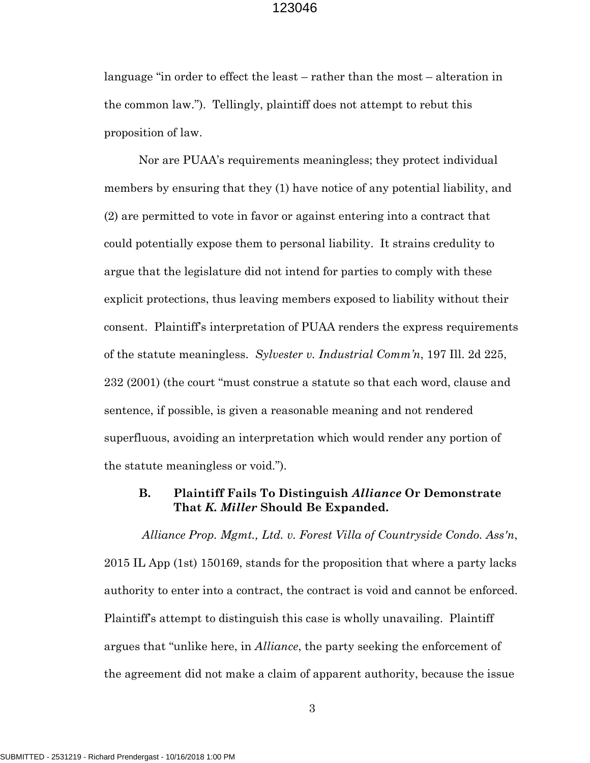language "in order to effect the least – rather than the most – alteration in the common law."). Tellingly, plaintiff does not attempt to rebut this proposition of law.

Nor are PUAA's requirements meaningless; they protect individual members by ensuring that they (1) have notice of any potential liability, and (2) are permitted to vote in favor or against entering into a contract that could potentially expose them to personal liability. It strains credulity to argue that the legislature did not intend for parties to comply with these explicit protections, thus leaving members exposed to liability without their consent. Plaintiff's interpretation of PUAA renders the express requirements of the statute meaningless. *Sylvester v. Industrial Comm'n*, 197 Ill. 2d 225, 232 (2001) (the court "must construe a statute so that each word, clause and sentence, if possible, is given a reasonable meaning and not rendered superfluous, avoiding an interpretation which would render any portion of the statute meaningless or void.").

## **B. Plaintiff Fails To Distinguish** *Alliance* **Or Demonstrate That** *K. Miller* **Should Be Expanded.**

*Alliance Prop. Mgmt., Ltd. v. Forest Villa of Countryside Condo. Ass'n*, 2015 IL App (1st) 150169, stands for the proposition that where a party lacks authority to enter into a contract, the contract is void and cannot be enforced. Plaintiff's attempt to distinguish this case is wholly unavailing. Plaintiff argues that "unlike here, in *Alliance*, the party seeking the enforcement of the agreement did not make a claim of apparent authority, because the issue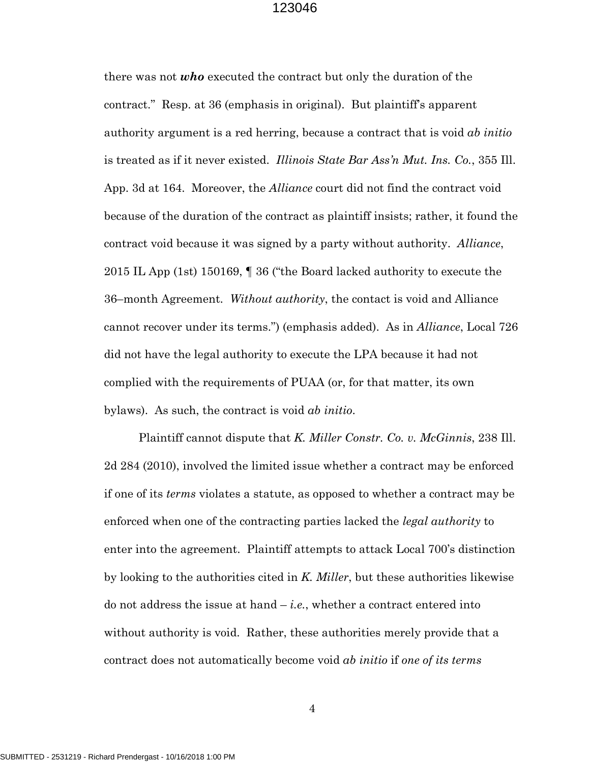there was not *who* executed the contract but only the duration of the contract." Resp. at 36 (emphasis in original). But plaintiff's apparent authority argument is a red herring, because a contract that is void *ab initio* is treated as if it never existed. *Illinois State Bar Ass'n Mut. Ins. Co.*, 355 Ill. App. 3d at 164. Moreover, the *Alliance* court did not find the contract void because of the duration of the contract as plaintiff insists; rather, it found the contract void because it was signed by a party without authority. *Alliance*, 2015 IL App (1st) 150169, ¶ 36 ("the Board lacked authority to execute the 36–month Agreement. *Without authority*, the contact is void and Alliance cannot recover under its terms.") (emphasis added). As in *Alliance*, Local 726 did not have the legal authority to execute the LPA because it had not complied with the requirements of PUAA (or, for that matter, its own bylaws). As such, the contract is void *ab initio*.

Plaintiff cannot dispute that *K. Miller Constr. Co. v. McGinnis*, 238 Ill. 2d 284 (2010), involved the limited issue whether a contract may be enforced if one of its *terms* violates a statute, as opposed to whether a contract may be enforced when one of the contracting parties lacked the *legal authority* to enter into the agreement. Plaintiff attempts to attack Local 700's distinction by looking to the authorities cited in *K. Miller*, but these authorities likewise do not address the issue at hand  $-i.e.,$  whether a contract entered into without authority is void. Rather, these authorities merely provide that a contract does not automatically become void *ab initio* if *one of its terms*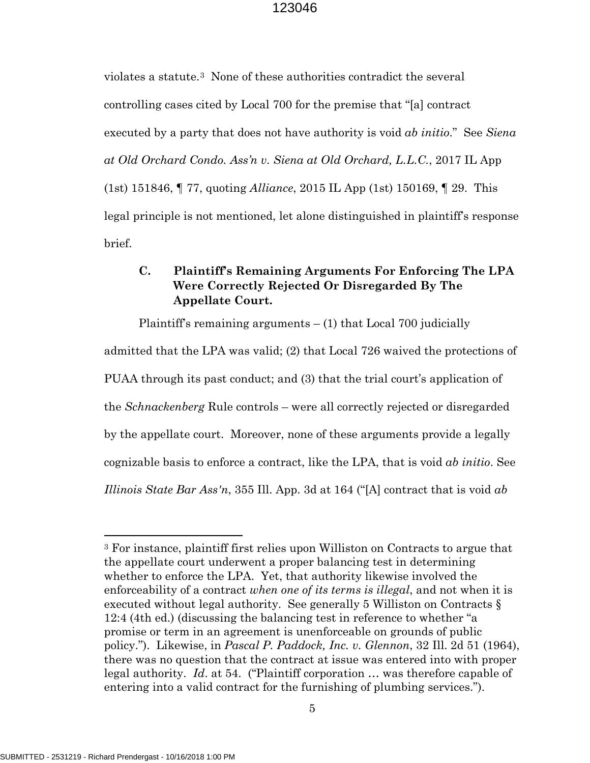violates a statute.[3](#page-9-0) None of these authorities contradict the several controlling cases cited by Local 700 for the premise that "[a] contract executed by a party that does not have authority is void *ab initio*." See *Siena at Old Orchard Condo. Ass'n v. Siena at Old Orchard, L.L.C.*, 2017 IL App (1st) 151846, ¶ 77, quoting *Alliance*, 2015 IL App (1st) 150169, ¶ 29. This legal principle is not mentioned, let alone distinguished in plaintiff's response brief.

## **C. Plaintiff's Remaining Arguments For Enforcing The LPA Were Correctly Rejected Or Disregarded By The Appellate Court.**

Plaintiff's remaining arguments  $- (1)$  that Local 700 judicially admitted that the LPA was valid; (2) that Local 726 waived the protections of PUAA through its past conduct; and (3) that the trial court's application of the *Schnackenberg* Rule controls – were all correctly rejected or disregarded by the appellate court. Moreover, none of these arguments provide a legally cognizable basis to enforce a contract, like the LPA, that is void *ab initio*. See *Illinois State Bar Ass'n*, 355 Ill. App. 3d at 164 ("[A] contract that is void *ab* 

 $\overline{a}$ 

<span id="page-9-0"></span><sup>3</sup> For instance, plaintiff first relies upon Williston on Contracts to argue that the appellate court underwent a proper balancing test in determining whether to enforce the LPA. Yet, that authority likewise involved the enforceability of a contract *when one of its terms is illegal*, and not when it is executed without legal authority. See generally 5 Williston on Contracts § 12:4 (4th ed.) (discussing the balancing test in reference to whether "a promise or term in an agreement is unenforceable on grounds of public policy."). Likewise, in *Pascal P. Paddock, Inc. v. Glennon*, 32 Ill. 2d 51 (1964), there was no question that the contract at issue was entered into with proper legal authority. *Id*. at 54. ("Plaintiff corporation … was therefore capable of entering into a valid contract for the furnishing of plumbing services.").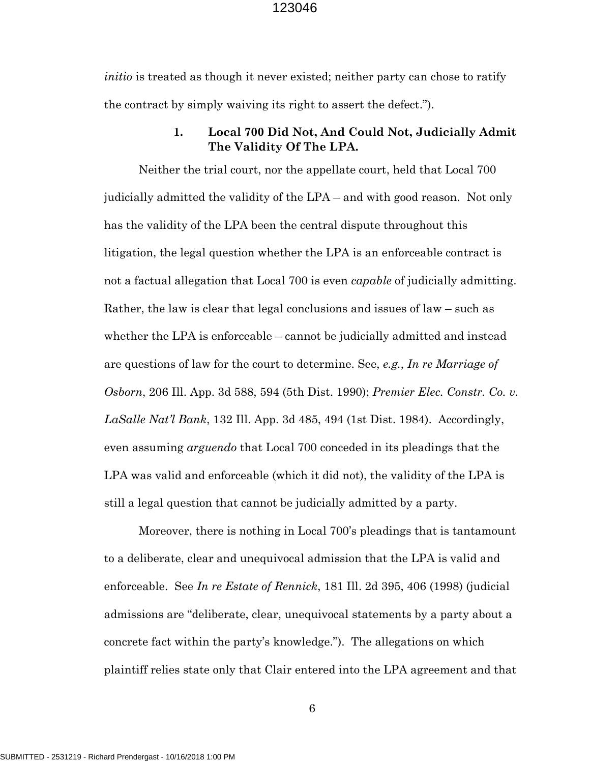*initio* is treated as though it never existed; neither party can chose to ratify the contract by simply waiving its right to assert the defect.").

## **1. Local 700 Did Not, And Could Not, Judicially Admit The Validity Of The LPA.**

Neither the trial court, nor the appellate court, held that Local 700 judicially admitted the validity of the LPA – and with good reason. Not only has the validity of the LPA been the central dispute throughout this litigation, the legal question whether the LPA is an enforceable contract is not a factual allegation that Local 700 is even *capable* of judicially admitting. Rather, the law is clear that legal conclusions and issues of law – such as whether the LPA is enforceable – cannot be judicially admitted and instead are questions of law for the court to determine. See, *e.g.*, *In re Marriage of Osborn*, 206 Ill. App. 3d 588, 594 (5th Dist. 1990); *Premier Elec. Constr. Co. v. LaSalle Nat'l Bank*, 132 Ill. App. 3d 485, 494 (1st Dist. 1984). Accordingly, even assuming *arguendo* that Local 700 conceded in its pleadings that the LPA was valid and enforceable (which it did not), the validity of the LPA is still a legal question that cannot be judicially admitted by a party.

Moreover, there is nothing in Local 700's pleadings that is tantamount to a deliberate, clear and unequivocal admission that the LPA is valid and enforceable. See *In re Estate of Rennick*, 181 Ill. 2d 395, 406 (1998) (judicial admissions are "deliberate, clear, unequivocal statements by a party about a concrete fact within the party's knowledge."). The allegations on which plaintiff relies state only that Clair entered into the LPA agreement and that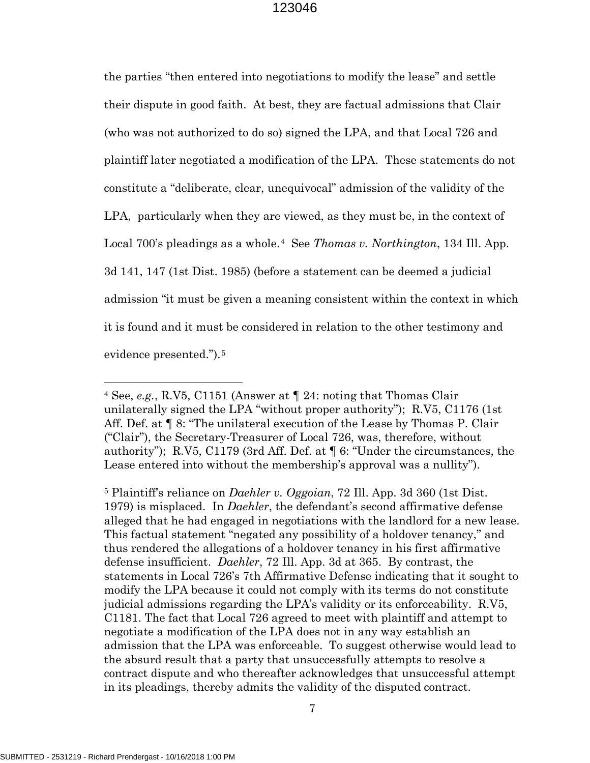the parties "then entered into negotiations to modify the lease" and settle their dispute in good faith. At best, they are factual admissions that Clair (who was not authorized to do so) signed the LPA, and that Local 726 and plaintiff later negotiated a modification of the LPA. These statements do not constitute a "deliberate, clear, unequivocal" admission of the validity of the LPA, particularly when they are viewed, as they must be, in the context of Local 700's pleadings as a whole.[4](#page-11-0) See *Thomas v. Northington*, 134 Ill. App. 3d 141, 147 (1st Dist. 1985) (before a statement can be deemed a judicial admission "it must be given a meaning consistent within the context in which it is found and it must be considered in relation to the other testimony and evidence presented.").<sup>[5](#page-11-1)</sup>

7

 $\overline{a}$ 

<span id="page-11-0"></span><sup>4</sup> See, *e.g.*, R.V5, C1151 (Answer at ¶ 24: noting that Thomas Clair unilaterally signed the LPA "without proper authority"); R.V5, C1176 (1st Aff. Def. at  $\P$  8: "The unilateral execution of the Lease by Thomas P. Clair ("Clair"), the Secretary-Treasurer of Local 726, was, therefore, without authority"); R.V5, C1179 (3rd Aff. Def. at ¶ 6: "Under the circumstances, the Lease entered into without the membership's approval was a nullity").

<span id="page-11-1"></span><sup>5</sup> Plaintiff's reliance on *Daehler v. Oggoian*, 72 Ill. App. 3d 360 (1st Dist. 1979) is misplaced. In *Daehler*, the defendant's second affirmative defense alleged that he had engaged in negotiations with the landlord for a new lease. This factual statement "negated any possibility of a holdover tenancy," and thus rendered the allegations of a holdover tenancy in his first affirmative defense insufficient. *Daehler*, 72 Ill. App. 3d at 365. By contrast, the statements in Local 726's 7th Affirmative Defense indicating that it sought to modify the LPA because it could not comply with its terms do not constitute judicial admissions regarding the LPA's validity or its enforceability. R.V5, C1181. The fact that Local 726 agreed to meet with plaintiff and attempt to negotiate a modification of the LPA does not in any way establish an admission that the LPA was enforceable. To suggest otherwise would lead to the absurd result that a party that unsuccessfully attempts to resolve a contract dispute and who thereafter acknowledges that unsuccessful attempt in its pleadings, thereby admits the validity of the disputed contract.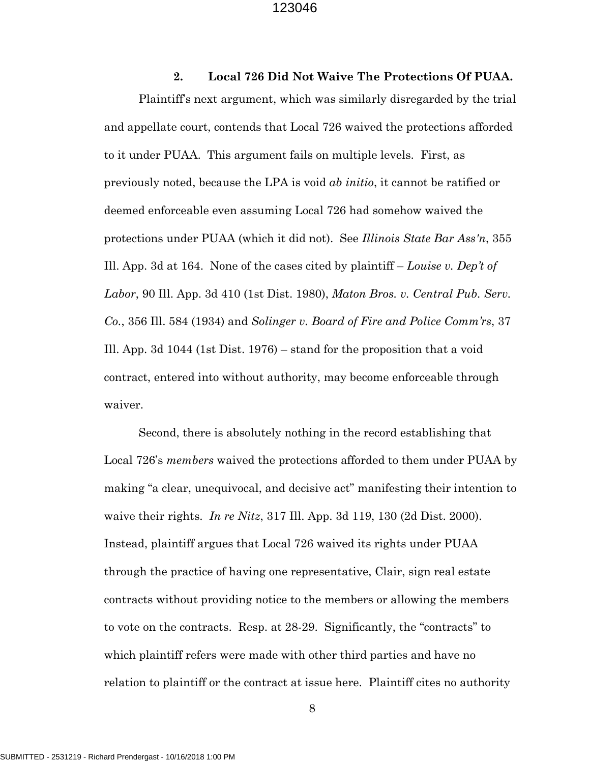**2. Local 726 Did Not Waive The Protections Of PUAA.** Plaintiff's next argument, which was similarly disregarded by the trial and appellate court, contends that Local 726 waived the protections afforded to it under PUAA. This argument fails on multiple levels. First, as previously noted, because the LPA is void *ab initio*, it cannot be ratified or deemed enforceable even assuming Local 726 had somehow waived the protections under PUAA (which it did not). See *Illinois State Bar Ass'n*, 355 Ill. App. 3d at 164. None of the cases cited by plaintiff – *Louise v. Dep't of Labor*, 90 Ill. App. 3d 410 (1st Dist. 1980), *Maton Bros. v. Central Pub. Serv. Co.*, 356 Ill. 584 (1934) and *Solinger v. Board of Fire and Police Comm'rs*, 37 Ill. App. 3d 1044 (1st Dist. 1976) – stand for the proposition that a void contract, entered into without authority, may become enforceable through waiver.

Second, there is absolutely nothing in the record establishing that Local 726's *members* waived the protections afforded to them under PUAA by making "a clear, unequivocal, and decisive act" manifesting their intention to waive their rights. *In re Nitz*, 317 Ill. App. 3d 119, 130 (2d Dist. 2000). Instead, plaintiff argues that Local 726 waived its rights under PUAA through the practice of having one representative, Clair, sign real estate contracts without providing notice to the members or allowing the members to vote on the contracts. Resp. at 28-29. Significantly, the "contracts" to which plaintiff refers were made with other third parties and have no relation to plaintiff or the contract at issue here. Plaintiff cites no authority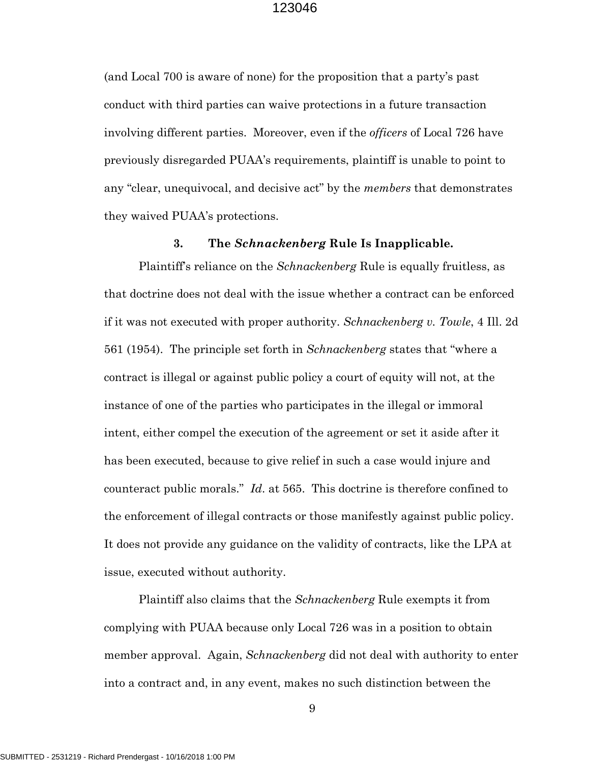(and Local 700 is aware of none) for the proposition that a party's past conduct with third parties can waive protections in a future transaction involving different parties. Moreover, even if the *officers* of Local 726 have previously disregarded PUAA's requirements, plaintiff is unable to point to any "clear, unequivocal, and decisive act" by the *members* that demonstrates they waived PUAA's protections.

#### **3. The** *Schnackenberg* **Rule Is Inapplicable.**

Plaintiff's reliance on the *Schnackenberg* Rule is equally fruitless, as that doctrine does not deal with the issue whether a contract can be enforced if it was not executed with proper authority. *Schnackenberg v. Towle*, 4 Ill. 2d 561 (1954). The principle set forth in *Schnackenberg* states that "where a contract is illegal or against public policy a court of equity will not, at the instance of one of the parties who participates in the illegal or immoral intent, either compel the execution of the agreement or set it aside after it has been executed, because to give relief in such a case would injure and counteract public morals." *Id*. at 565. This doctrine is therefore confined to the enforcement of illegal contracts or those manifestly against public policy. It does not provide any guidance on the validity of contracts, like the LPA at issue, executed without authority.

Plaintiff also claims that the *Schnackenberg* Rule exempts it from complying with PUAA because only Local 726 was in a position to obtain member approval. Again, *Schnackenberg* did not deal with authority to enter into a contract and, in any event, makes no such distinction between the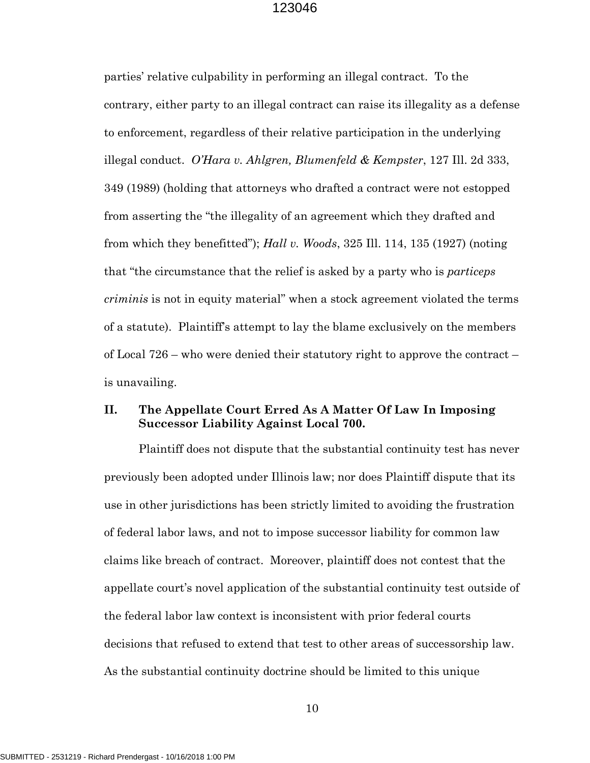parties' relative culpability in performing an illegal contract. To the contrary, either party to an illegal contract can raise its illegality as a defense to enforcement, regardless of their relative participation in the underlying illegal conduct. *O'Hara v. Ahlgren, Blumenfeld & Kempster*, 127 Ill. 2d 333, 349 (1989) (holding that attorneys who drafted a contract were not estopped from asserting the "the illegality of an agreement which they drafted and from which they benefitted"); *Hall v. Woods*, 325 Ill. 114, 135 (1927) (noting that "the circumstance that the relief is asked by a party who is *particeps criminis* is not in equity material" when a stock agreement violated the terms of a statute). Plaintiff's attempt to lay the blame exclusively on the members of Local 726 – who were denied their statutory right to approve the contract – is unavailing.

## **II. The Appellate Court Erred As A Matter Of Law In Imposing Successor Liability Against Local 700.**

Plaintiff does not dispute that the substantial continuity test has never previously been adopted under Illinois law; nor does Plaintiff dispute that its use in other jurisdictions has been strictly limited to avoiding the frustration of federal labor laws, and not to impose successor liability for common law claims like breach of contract. Moreover, plaintiff does not contest that the appellate court's novel application of the substantial continuity test outside of the federal labor law context is inconsistent with prior federal courts decisions that refused to extend that test to other areas of successorship law. As the substantial continuity doctrine should be limited to this unique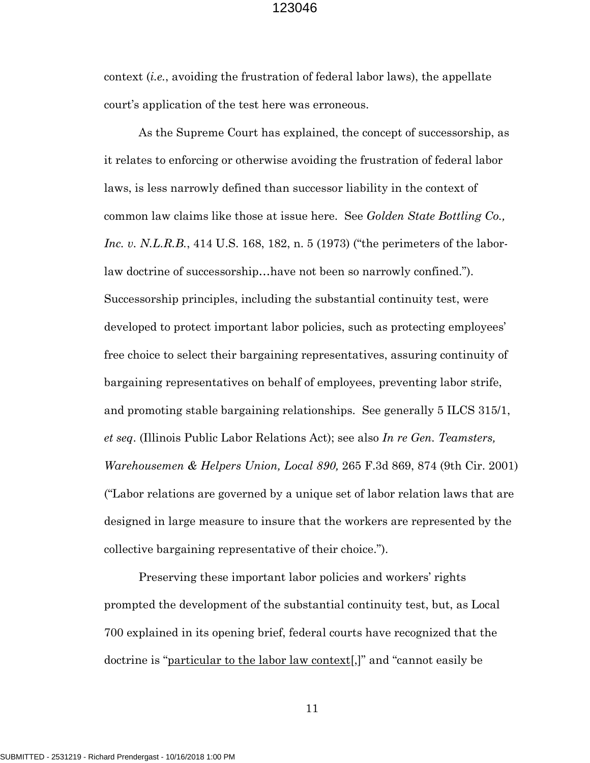context (*i.e.*, avoiding the frustration of federal labor laws), the appellate court's application of the test here was erroneous.

As the Supreme Court has explained, the concept of successorship, as it relates to enforcing or otherwise avoiding the frustration of federal labor laws, is less narrowly defined than successor liability in the context of common law claims like those at issue here. See *Golden State Bottling Co., Inc. v. N.L.R.B.*, 414 U.S. 168, 182, n. 5 (1973) ("the perimeters of the laborlaw doctrine of successorship…have not been so narrowly confined."). Successorship principles, including the substantial continuity test, were developed to protect important labor policies, such as protecting employees' free choice to select their bargaining representatives, assuring continuity of bargaining representatives on behalf of employees, preventing labor strife, and promoting stable bargaining relationships. See generally 5 ILCS 315/1, *et seq*. (Illinois Public Labor Relations Act); see also *In re Gen. Teamsters, Warehousemen & Helpers Union, Local 890,* 265 F.3d 869, 874 (9th Cir. 2001) ("Labor relations are governed by a unique set of labor relation laws that are designed in large measure to insure that the workers are represented by the collective bargaining representative of their choice.").

Preserving these important labor policies and workers' rights prompted the development of the substantial continuity test, but, as Local 700 explained in its opening brief, federal courts have recognized that the doctrine is "particular to the labor law context[,]" and "cannot easily be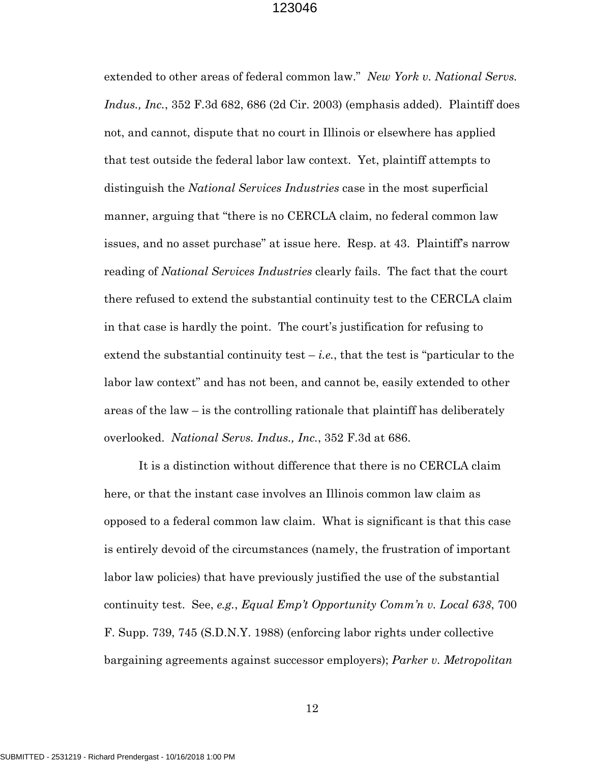extended to other areas of federal common law." *New York v. National Servs. Indus., Inc.*, 352 F.3d 682, 686 (2d Cir. 2003) (emphasis added). Plaintiff does not, and cannot, dispute that no court in Illinois or elsewhere has applied that test outside the federal labor law context. Yet, plaintiff attempts to distinguish the *National Services Industries* case in the most superficial manner, arguing that "there is no CERCLA claim, no federal common law issues, and no asset purchase" at issue here. Resp. at 43. Plaintiff's narrow reading of *National Services Industries* clearly fails. The fact that the court there refused to extend the substantial continuity test to the CERCLA claim in that case is hardly the point. The court's justification for refusing to extend the substantial continuity test  $-i.e.,$  that the test is "particular to the labor law context" and has not been, and cannot be, easily extended to other areas of the law – is the controlling rationale that plaintiff has deliberately overlooked. *National Servs. Indus., Inc.*, 352 F.3d at 686.

It is a distinction without difference that there is no CERCLA claim here, or that the instant case involves an Illinois common law claim as opposed to a federal common law claim. What is significant is that this case is entirely devoid of the circumstances (namely, the frustration of important labor law policies) that have previously justified the use of the substantial continuity test. See, *e.g.*, *Equal Emp't Opportunity Comm'n v. Local 638*, 700 F. Supp. 739, 745 (S.D.N.Y. 1988) (enforcing labor rights under collective bargaining agreements against successor employers); *Parker v. Metropolitan*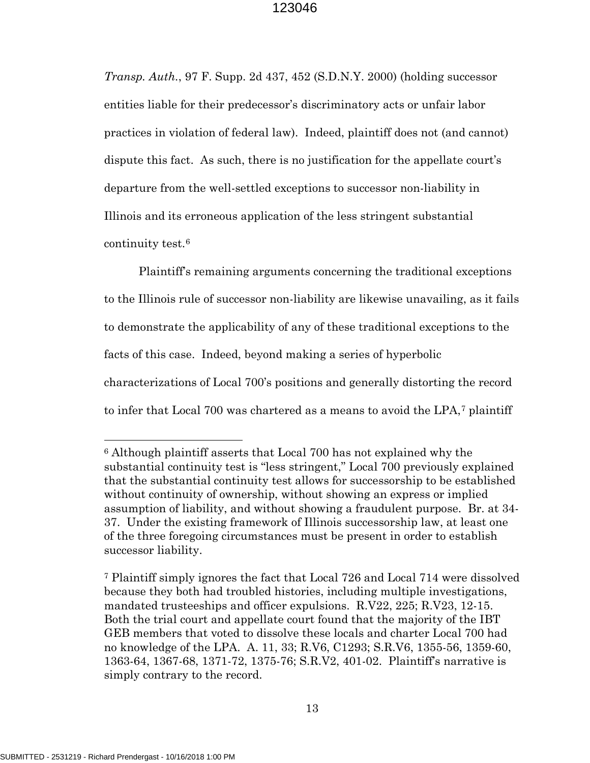*Transp. Auth.*, 97 F. Supp. 2d 437, 452 (S.D.N.Y. 2000) (holding successor entities liable for their predecessor's discriminatory acts or unfair labor practices in violation of federal law). Indeed, plaintiff does not (and cannot) dispute this fact. As such, there is no justification for the appellate court's departure from the well-settled exceptions to successor non-liability in Illinois and its erroneous application of the less stringent substantial continuity test.[6](#page-17-0)

Plaintiff's remaining arguments concerning the traditional exceptions to the Illinois rule of successor non-liability are likewise unavailing, as it fails to demonstrate the applicability of any of these traditional exceptions to the facts of this case. Indeed, beyond making a series of hyperbolic characterizations of Local 700's positions and generally distorting the record to infer that Local 700 was chartered as a means to avoid the LPA,[7](#page-17-1) plaintiff

 $\overline{\phantom{a}}$ 

<span id="page-17-0"></span><sup>6</sup> Although plaintiff asserts that Local 700 has not explained why the substantial continuity test is "less stringent," Local 700 previously explained that the substantial continuity test allows for successorship to be established without continuity of ownership, without showing an express or implied assumption of liability, and without showing a fraudulent purpose. Br. at 34- 37. Under the existing framework of Illinois successorship law, at least one of the three foregoing circumstances must be present in order to establish successor liability.

<span id="page-17-1"></span><sup>7</sup> Plaintiff simply ignores the fact that Local 726 and Local 714 were dissolved because they both had troubled histories, including multiple investigations, mandated trusteeships and officer expulsions. R.V22, 225; R.V23, 12-15. Both the trial court and appellate court found that the majority of the IBT GEB members that voted to dissolve these locals and charter Local 700 had no knowledge of the LPA. A. 11, 33; R.V6, C1293; S.R.V6, 1355-56, 1359-60, 1363-64, 1367-68, 1371-72, 1375-76; S.R.V2, 401-02. Plaintiff's narrative is simply contrary to the record.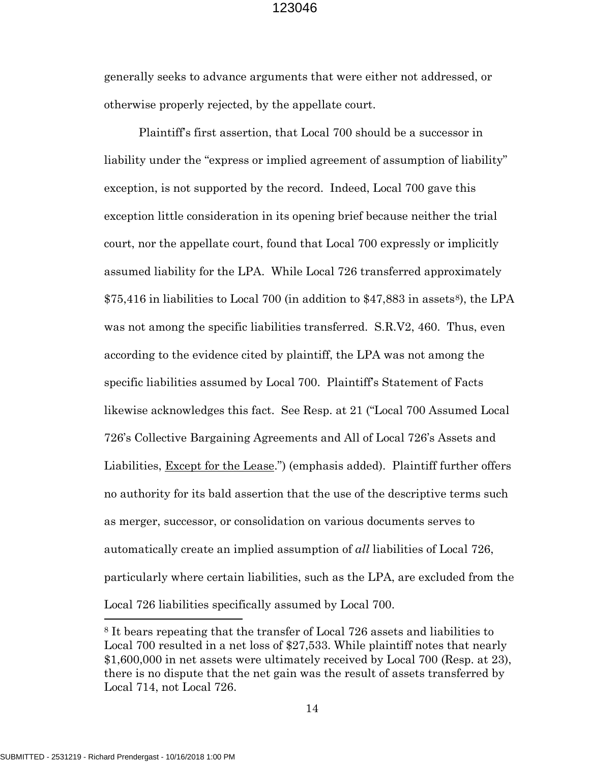generally seeks to advance arguments that were either not addressed, or otherwise properly rejected, by the appellate court.

Plaintiff's first assertion, that Local 700 should be a successor in liability under the "express or implied agreement of assumption of liability" exception, is not supported by the record. Indeed, Local 700 gave this exception little consideration in its opening brief because neither the trial court, nor the appellate court, found that Local 700 expressly or implicitly assumed liability for the LPA. While Local 726 transferred approximately  $$75,416$  in liabilities to Local 700 (in addition to  $$47,883$  $$47,883$  $$47,883$  in assets<sup>8</sup>), the LPA was not among the specific liabilities transferred. S.R.V2, 460. Thus, even according to the evidence cited by plaintiff, the LPA was not among the specific liabilities assumed by Local 700. Plaintiff's Statement of Facts likewise acknowledges this fact. See Resp. at 21 ("Local 700 Assumed Local 726's Collective Bargaining Agreements and All of Local 726's Assets and Liabilities, Except for the Lease.") (emphasis added). Plaintiff further offers no authority for its bald assertion that the use of the descriptive terms such as merger, successor, or consolidation on various documents serves to automatically create an implied assumption of *all* liabilities of Local 726, particularly where certain liabilities, such as the LPA, are excluded from the Local 726 liabilities specifically assumed by Local 700.

 $\overline{\phantom{a}}$ 

<span id="page-18-0"></span><sup>8</sup> It bears repeating that the transfer of Local 726 assets and liabilities to Local 700 resulted in a net loss of \$27,533. While plaintiff notes that nearly \$1,600,000 in net assets were ultimately received by Local 700 (Resp. at 23), there is no dispute that the net gain was the result of assets transferred by Local 714, not Local 726.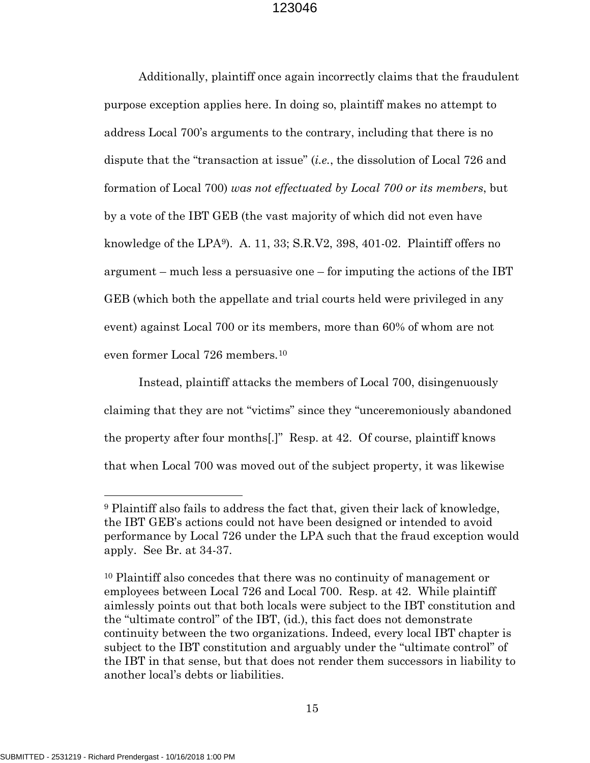Additionally, plaintiff once again incorrectly claims that the fraudulent purpose exception applies here. In doing so, plaintiff makes no attempt to address Local 700's arguments to the contrary, including that there is no dispute that the "transaction at issue" (*i.e.*, the dissolution of Local 726 and formation of Local 700) *was not effectuated by Local 700 or its members*, but by a vote of the IBT GEB (the vast majority of which did not even have knowledge of the LPA[9\)](#page-19-0). A. 11, 33; S.R.V2, 398, 401-02. Plaintiff offers no argument – much less a persuasive one – for imputing the actions of the IBT GEB (which both the appellate and trial courts held were privileged in any event) against Local 700 or its members, more than 60% of whom are not even former Local 726 members.[10](#page-19-1) 

Instead, plaintiff attacks the members of Local 700, disingenuously claiming that they are not "victims" since they "unceremoniously abandoned the property after four months[.]" Resp. at 42. Of course, plaintiff knows that when Local 700 was moved out of the subject property, it was likewise

l

<span id="page-19-0"></span><sup>9</sup> Plaintiff also fails to address the fact that, given their lack of knowledge, the IBT GEB's actions could not have been designed or intended to avoid performance by Local 726 under the LPA such that the fraud exception would apply. See Br. at 34-37.

<span id="page-19-1"></span><sup>10</sup> Plaintiff also concedes that there was no continuity of management or employees between Local 726 and Local 700. Resp. at 42. While plaintiff aimlessly points out that both locals were subject to the IBT constitution and the "ultimate control" of the IBT, (id.), this fact does not demonstrate continuity between the two organizations. Indeed, every local IBT chapter is subject to the IBT constitution and arguably under the "ultimate control" of the IBT in that sense, but that does not render them successors in liability to another local's debts or liabilities.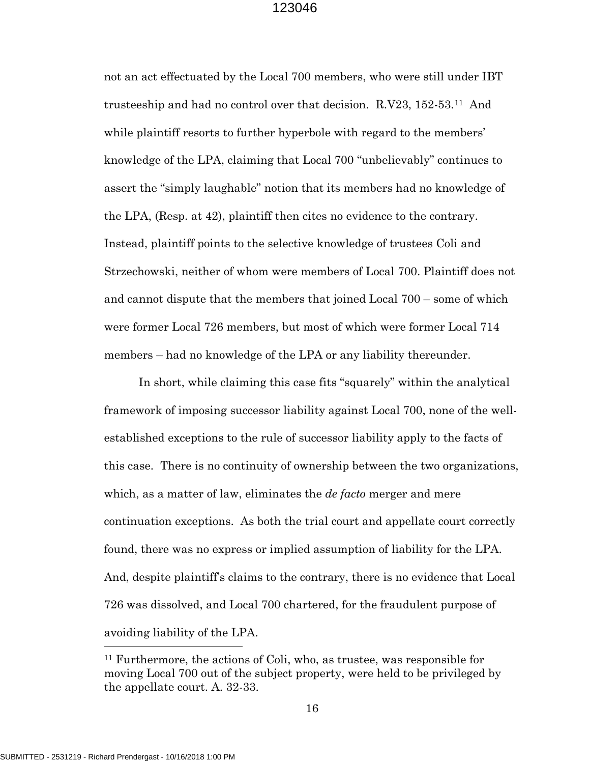not an act effectuated by the Local 700 members, who were still under IBT trusteeship and had no control over that decision. R.V23, 152-53.[11](#page-20-0) And while plaintiff resorts to further hyperbole with regard to the members' knowledge of the LPA, claiming that Local 700 "unbelievably" continues to assert the "simply laughable" notion that its members had no knowledge of the LPA, (Resp. at 42), plaintiff then cites no evidence to the contrary. Instead, plaintiff points to the selective knowledge of trustees Coli and Strzechowski, neither of whom were members of Local 700. Plaintiff does not and cannot dispute that the members that joined Local 700 – some of which were former Local 726 members, but most of which were former Local 714 members – had no knowledge of the LPA or any liability thereunder.

In short, while claiming this case fits "squarely" within the analytical framework of imposing successor liability against Local 700, none of the wellestablished exceptions to the rule of successor liability apply to the facts of this case. There is no continuity of ownership between the two organizations, which, as a matter of law, eliminates the *de facto* merger and mere continuation exceptions. As both the trial court and appellate court correctly found, there was no express or implied assumption of liability for the LPA. And, despite plaintiff's claims to the contrary, there is no evidence that Local 726 was dissolved, and Local 700 chartered, for the fraudulent purpose of avoiding liability of the LPA.

 $\overline{\phantom{a}}$ 

<span id="page-20-0"></span><sup>11</sup> Furthermore, the actions of Coli, who, as trustee, was responsible for moving Local 700 out of the subject property, were held to be privileged by the appellate court. A. 32-33.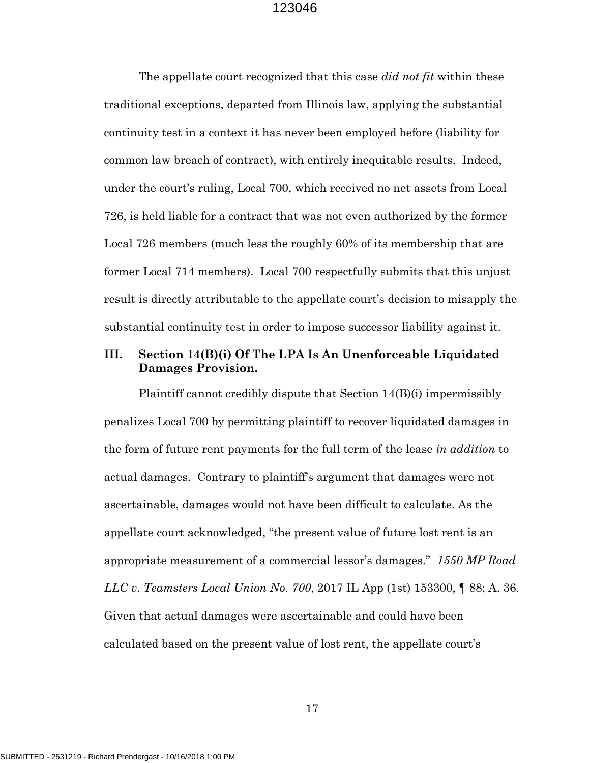The appellate court recognized that this case *did not fit* within these traditional exceptions, departed from Illinois law, applying the substantial continuity test in a context it has never been employed before (liability for common law breach of contract), with entirely inequitable results. Indeed, under the court's ruling, Local 700, which received no net assets from Local 726, is held liable for a contract that was not even authorized by the former Local 726 members (much less the roughly 60% of its membership that are former Local 714 members). Local 700 respectfully submits that this unjust result is directly attributable to the appellate court's decision to misapply the substantial continuity test in order to impose successor liability against it.

## **III. Section 14(B)(i) Of The LPA Is An Unenforceable Liquidated Damages Provision.**

Plaintiff cannot credibly dispute that Section 14(B)(i) impermissibly penalizes Local 700 by permitting plaintiff to recover liquidated damages in the form of future rent payments for the full term of the lease *in addition* to actual damages. Contrary to plaintiff's argument that damages were not ascertainable, damages would not have been difficult to calculate. As the appellate court acknowledged, "the present value of future lost rent is an appropriate measurement of a commercial lessor's damages." *1550 MP Road LLC v. Teamsters Local Union No. 700*, 2017 IL App (1st) 153300, ¶ 88; A. 36. Given that actual damages were ascertainable and could have been calculated based on the present value of lost rent, the appellate court's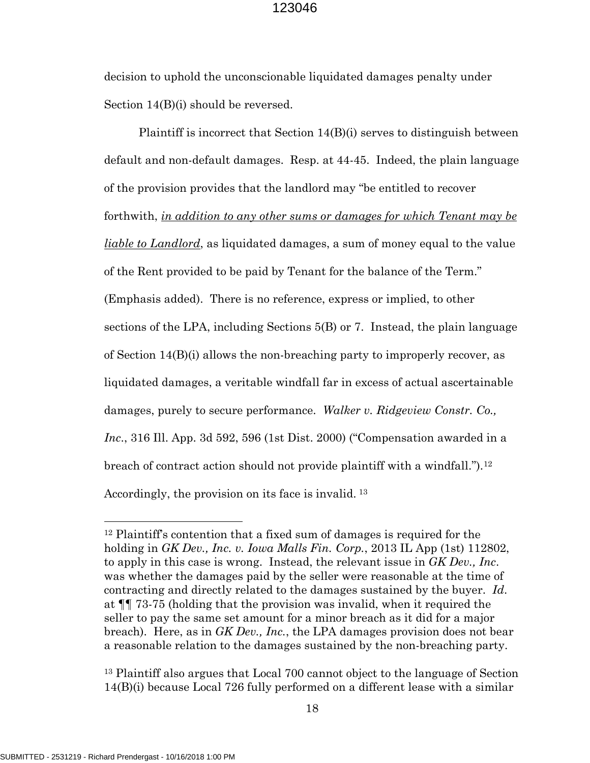decision to uphold the unconscionable liquidated damages penalty under Section 14(B)(i) should be reversed.

Plaintiff is incorrect that Section  $14(B)(i)$  serves to distinguish between default and non-default damages. Resp. at 44-45. Indeed, the plain language of the provision provides that the landlord may "be entitled to recover forthwith, *in addition to any other sums or damages for which Tenant may be liable to Landlord*, as liquidated damages, a sum of money equal to the value of the Rent provided to be paid by Tenant for the balance of the Term." (Emphasis added). There is no reference, express or implied, to other sections of the LPA, including Sections 5(B) or 7. Instead, the plain language of Section 14(B)(i) allows the non-breaching party to improperly recover, as liquidated damages, a veritable windfall far in excess of actual ascertainable damages, purely to secure performance. *Walker v. Ridgeview Constr. Co., Inc*., 316 Ill. App. 3d 592, 596 (1st Dist. 2000) ("Compensation awarded in a breach of contract action should not provide plaintiff with a windfall.").[12](#page-22-0)  Accordingly, the provision on its face is invalid. [13](#page-22-1)

<span id="page-22-1"></span><sup>13</sup> Plaintiff also argues that Local 700 cannot object to the language of Section 14(B)(i) because Local 726 fully performed on a different lease with a similar

l

<span id="page-22-0"></span><sup>12</sup> Plaintiff's contention that a fixed sum of damages is required for the holding in *GK Dev., Inc. v. Iowa Malls Fin. Corp.*, 2013 IL App (1st) 112802, to apply in this case is wrong. Instead, the relevant issue in *GK Dev., Inc*. was whether the damages paid by the seller were reasonable at the time of contracting and directly related to the damages sustained by the buyer. *Id*. at ¶¶ 73-75 (holding that the provision was invalid, when it required the seller to pay the same set amount for a minor breach as it did for a major breach). Here, as in *GK Dev., Inc.*, the LPA damages provision does not bear a reasonable relation to the damages sustained by the non-breaching party.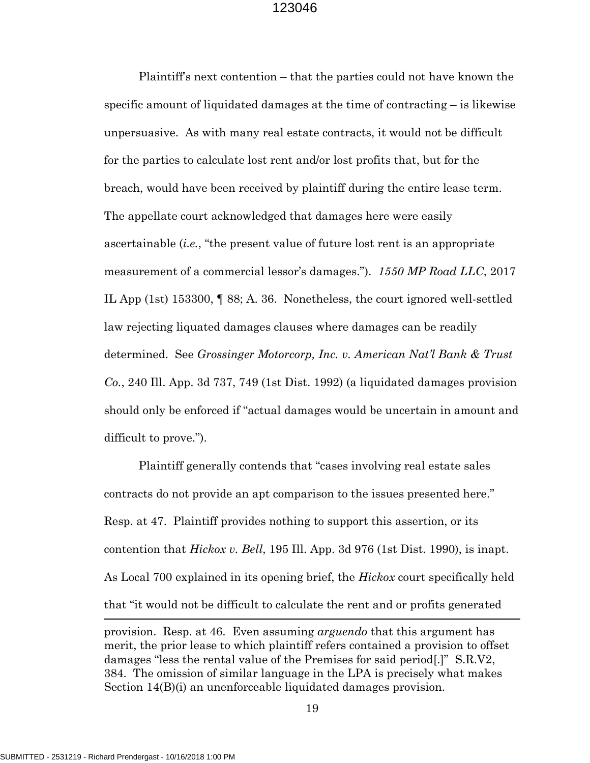Plaintiff's next contention – that the parties could not have known the specific amount of liquidated damages at the time of contracting – is likewise unpersuasive. As with many real estate contracts, it would not be difficult for the parties to calculate lost rent and/or lost profits that, but for the breach, would have been received by plaintiff during the entire lease term. The appellate court acknowledged that damages here were easily ascertainable (*i.e.*, "the present value of future lost rent is an appropriate measurement of a commercial lessor's damages."). *1550 MP Road LLC*, 2017 IL App (1st) 153300, ¶ 88; A. 36. Nonetheless, the court ignored well-settled law rejecting liquated damages clauses where damages can be readily determined. See *Grossinger Motorcorp, Inc. v. American Nat'l Bank & Trust Co.*, 240 Ill. App. 3d 737, 749 (1st Dist. 1992) (a liquidated damages provision should only be enforced if "actual damages would be uncertain in amount and difficult to prove.").

Plaintiff generally contends that "cases involving real estate sales contracts do not provide an apt comparison to the issues presented here." Resp. at 47. Plaintiff provides nothing to support this assertion, or its contention that *Hickox v. Bell*, 195 Ill. App. 3d 976 (1st Dist. 1990), is inapt. As Local 700 explained in its opening brief, the *Hickox* court specifically held that "it would not be difficult to calculate the rent and or profits generated

provision. Resp. at 46. Even assuming *arguendo* that this argument has merit, the prior lease to which plaintiff refers contained a provision to offset damages "less the rental value of the Premises for said period[.]" S.R.V2, 384. The omission of similar language in the LPA is precisely what makes Section 14(B)(i) an unenforceable liquidated damages provision.

19

 $\overline{\phantom{a}}$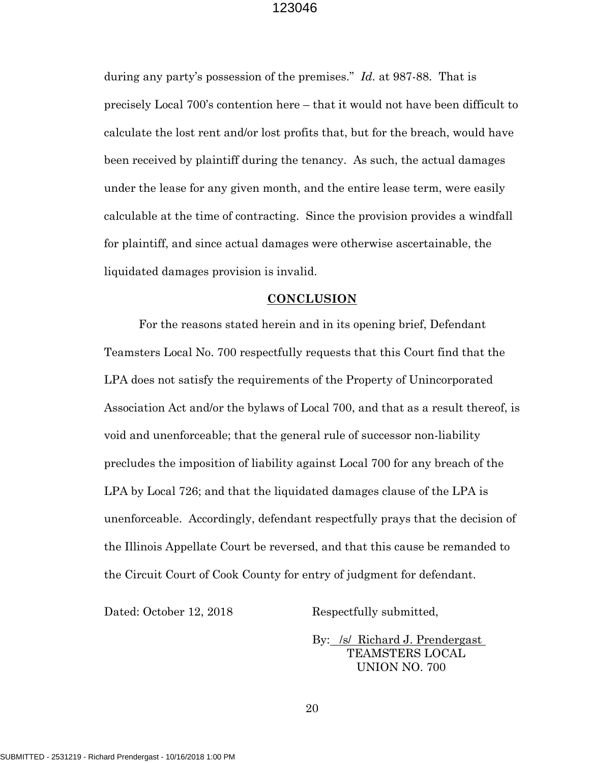during any party's possession of the premises." *Id.* at 987-88. That is precisely Local 700's contention here – that it would not have been difficult to calculate the lost rent and/or lost profits that, but for the breach, would have been received by plaintiff during the tenancy. As such, the actual damages under the lease for any given month, and the entire lease term, were easily calculable at the time of contracting. Since the provision provides a windfall for plaintiff, and since actual damages were otherwise ascertainable, the liquidated damages provision is invalid.

#### **CONCLUSION**

For the reasons stated herein and in its opening brief, Defendant Teamsters Local No. 700 respectfully requests that this Court find that the LPA does not satisfy the requirements of the Property of Unincorporated Association Act and/or the bylaws of Local 700, and that as a result thereof, is void and unenforceable; that the general rule of successor non-liability precludes the imposition of liability against Local 700 for any breach of the LPA by Local 726; and that the liquidated damages clause of the LPA is unenforceable. Accordingly, defendant respectfully prays that the decision of the Illinois Appellate Court be reversed, and that this cause be remanded to the Circuit Court of Cook County for entry of judgment for defendant.

Dated: October 12, 2018 Respectfully submitted,

 By: /s/ Richard J. Prendergast TEAMSTERS LOCAL UNION NO. 700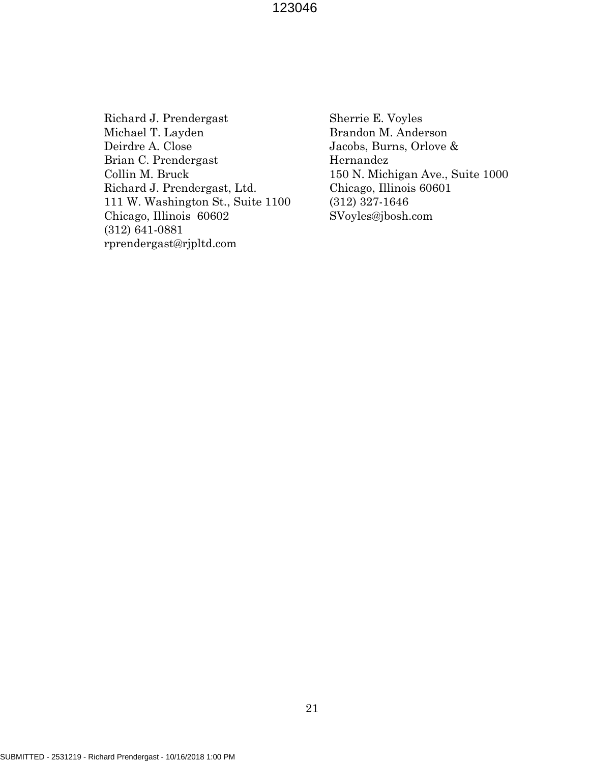Richard J. Prendergast Michael T. Layden Deirdre A. Close Brian C. Prendergast Collin M. Bruck Richard J. Prendergast, Ltd. 111 W. Washington St., Suite 1100 Chicago, Illinois 60602 (312) 641-0881 rprendergast@rjpltd.com

Sherrie E. Voyles Brandon M. Anderson Jacobs, Burns, Orlove & Hernandez 150 N. Michigan Ave., Suite 1000 Chicago, Illinois 60601 (312) 327-1646 SVoyles@jbosh.com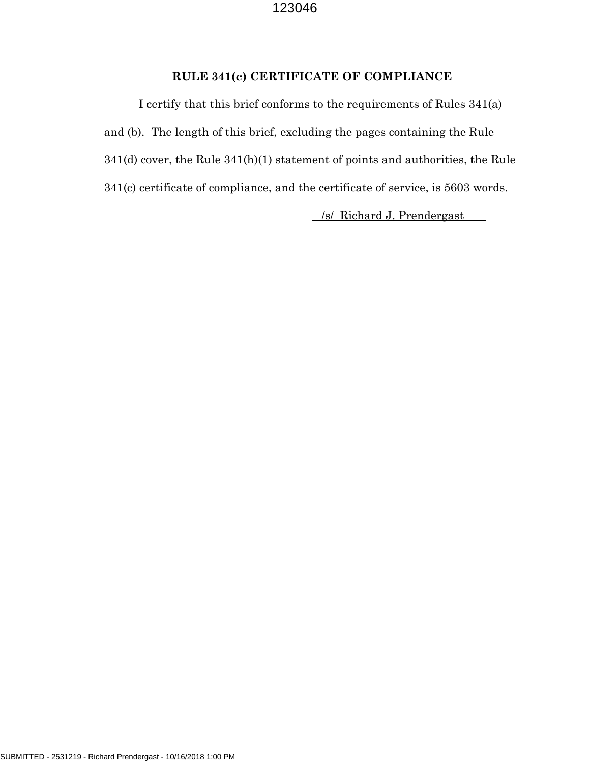## **RULE 341(c) CERTIFICATE OF COMPLIANCE**

I certify that this brief conforms to the requirements of Rules 341(a) and (b). The length of this brief, excluding the pages containing the Rule 341(d) cover, the Rule 341(h)(1) statement of points and authorities, the Rule 341(c) certificate of compliance, and the certificate of service, is 5603 words.

/s/ Richard J. Prendergast